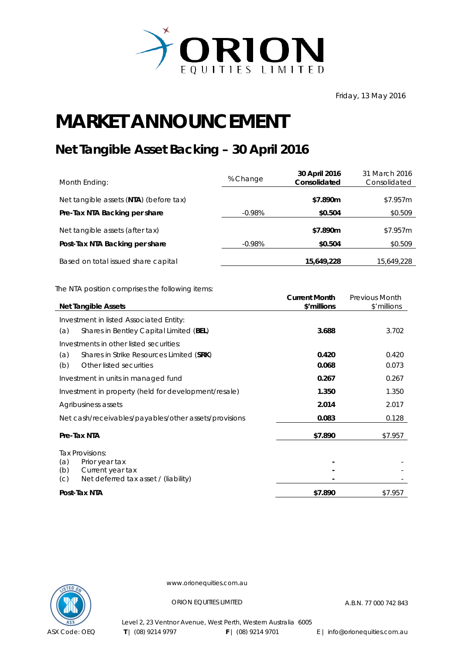

Friday, 13 May 2016

## **MARKET ANNOUNCEMENT**

## **Net Tangible Asset Backing – 30 April 2016**

| Month Ending:                          | % Change  | 30 April 2016<br>Consolidated | 31 March 2016<br>Consolidated |
|----------------------------------------|-----------|-------------------------------|-------------------------------|
| Net tangible assets (NTA) (before tax) |           | \$7.890m                      | \$7.957m                      |
| Pre-Tax NTA Backing per share          | $-0.98\%$ | \$0.504                       | \$0.509                       |
| Net tangible assets (after tax)        |           | \$7.890m                      | \$7.957m                      |
| Post-Tax NTA Backing per share         | $-0.98\%$ | \$0.504                       | \$0.509                       |
| Based on total issued share capital    |           | 15,649,228                    | 15,649,228                    |

The NTA position comprises the following items:

|                                                       | <b>Current Month</b> | Previous Month |
|-------------------------------------------------------|----------------------|----------------|
| <b>Net Tangible Assets</b>                            | \$'millions          | \$'millions    |
| Investment in listed Associated Entity:               |                      |                |
| Shares in Bentley Capital Limited (BEL)<br>(a)        | 3.688                | 3.702          |
| Investments in other listed securities:               |                      |                |
| Shares in Strike Resources Limited (SRK)<br>(a)       | 0.420                | 0.420          |
| Other listed securities<br>(b)                        | 0.068                | 0.073          |
| Investment in units in managed fund                   | 0.267                | 0.267          |
| Investment in property (held for development/resale)  | 1.350                | 1.350          |
| Agribusiness assets                                   | 2.014                | 2.017          |
| Net cash/receivables/payables/other assets/provisions | 0.083                | 0.128          |
| Pre-Tax NTA                                           | \$7.890              | \$7.957        |
| Tax Provisions:                                       |                      |                |
| Prior year tax<br>(a)                                 |                      |                |
| Current year tax<br>(b)                               |                      |                |
| Net deferred tax asset / (liability)<br>(C)           |                      |                |
| Post-Tax NTA                                          | \$7.890              | \$7.957        |



www.orionequities.com.au

ORION EQUITIES LIMITED A.B.N. 77 000 742 843

Level 2, 23 Ventnor Avenue, West Perth, Western Australia 6005 **T** | (08) 9214 9797 **F** | (08) 9214 9701 E | info@orionequities.com.au